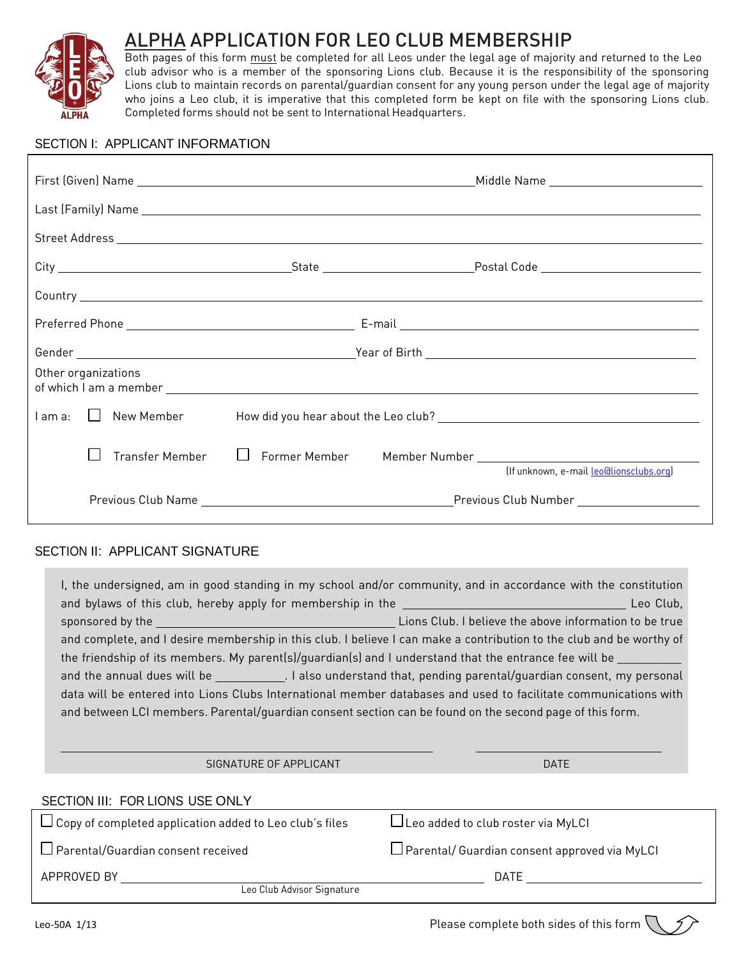

 $\overline{I}$ 

# ALPHA APPLICATION FOR LEO CLUB MEMBERSHIP

Both pages of this form <u>must</u> be completed for all Leos under the legal age of majority and returned to the Leo club advisor who is a member of the sponsoring Lions club. Because it is the responsibility of the sponsoring Lions club to maintain records on parental/guardian consent for any young person under the legal age of majority who joins a Leo club, it is imperative that this completed form be kept on file with the sponsoring Lions club. Completed forms should not be sent to International Headquarters.

### SECTION I: APPLICANT INFORMATION

|  |                     |  | Middle Name ___________________________                                                                                                                   |  |
|--|---------------------|--|-----------------------------------------------------------------------------------------------------------------------------------------------------------|--|
|  |                     |  |                                                                                                                                                           |  |
|  |                     |  |                                                                                                                                                           |  |
|  |                     |  |                                                                                                                                                           |  |
|  |                     |  |                                                                                                                                                           |  |
|  |                     |  |                                                                                                                                                           |  |
|  |                     |  |                                                                                                                                                           |  |
|  | Other organizations |  |                                                                                                                                                           |  |
|  |                     |  |                                                                                                                                                           |  |
|  |                     |  | Transfer Member   C Former Member   Member Number   Contract   Contract   Contract   Contract   Contract   Con<br>(If unknown, e-mail leo@lionsclubs.org) |  |
|  |                     |  |                                                                                                                                                           |  |

# SECTION II: APPLICANT SIGNATURE

| I, the undersigned, am in good standing in my school and/or community, and in accordance with the constitution       |                                                 |  |  |  |  |  |
|----------------------------------------------------------------------------------------------------------------------|-------------------------------------------------|--|--|--|--|--|
|                                                                                                                      |                                                 |  |  |  |  |  |
| and complete, and I desire membership in this club. I believe I can make a contribution to the club and be worthy of |                                                 |  |  |  |  |  |
| the friendship of its members. My parent(s)/guardian(s) and I understand that the entrance fee will be ________      |                                                 |  |  |  |  |  |
| and the annual dues will be _____________. I also understand that, pending parental/guardian consent, my personal    |                                                 |  |  |  |  |  |
| data will be entered into Lions Clubs International member databases and used to facilitate communications with      |                                                 |  |  |  |  |  |
| and between LCI members. Parental/quardian consent section can be found on the second page of this form.             |                                                 |  |  |  |  |  |
|                                                                                                                      |                                                 |  |  |  |  |  |
| SIGNATURE OF APPLICANT                                                                                               | <b>DATE</b>                                     |  |  |  |  |  |
|                                                                                                                      |                                                 |  |  |  |  |  |
| SECTION III: FOR LIONS USE ONLY                                                                                      |                                                 |  |  |  |  |  |
| $\square$ Copy of completed application added to Leo club's files                                                    | □Leo added to club roster via MyLCI             |  |  |  |  |  |
| $\Box$ Parental/Guardian consent received                                                                            | □ Parental/ Guardian consent approved via MyLCI |  |  |  |  |  |
| APPROVED BY                                                                                                          | DATE                                            |  |  |  |  |  |
| Leo Club Advisor Signature                                                                                           |                                                 |  |  |  |  |  |